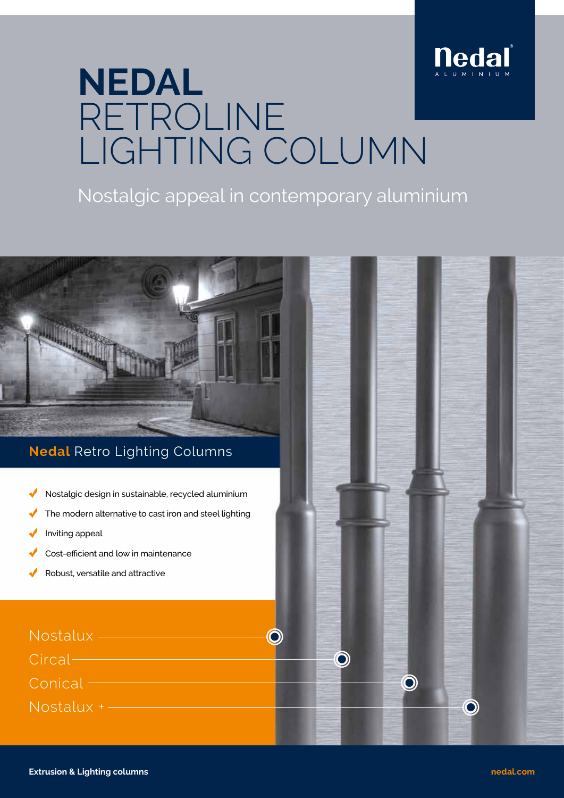

# **NEDAL** RETROLINE LIGHTING COLUMN

### Nostalgic appeal in contemporary aluminium